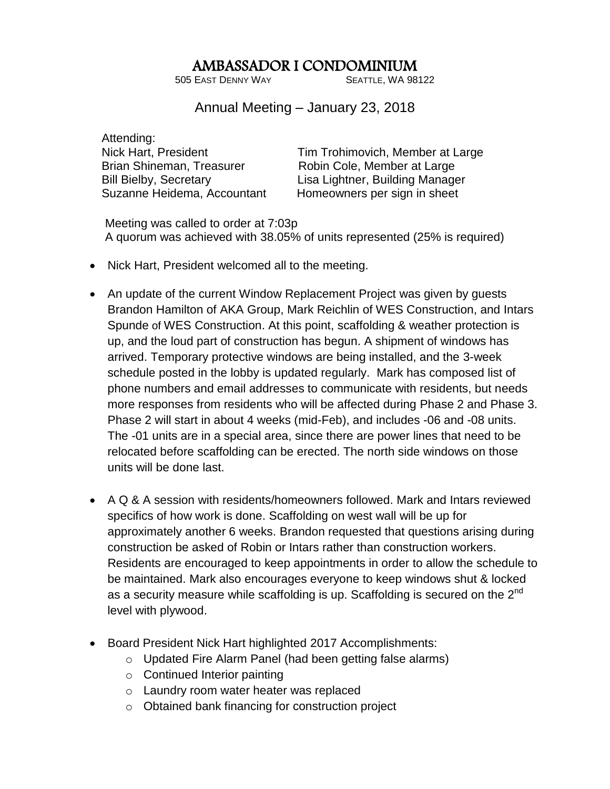## AMBASSADOR I CONDOMINIUM

505 EAST DENNY WAY SEATTLE, WA 98122

Annual Meeting – January 23, 2018

 Attending: Brian Shineman, Treasurer Robin Cole, Member at Large

Nick Hart, President Tim Trohimovich, Member at Large Bill Bielby, Secretary Lisa Lightner, Building Manager Suzanne Heidema, Accountant Homeowners per sign in sheet

 Meeting was called to order at 7:03p A quorum was achieved with 38.05% of units represented (25% is required)

- Nick Hart, President welcomed all to the meeting.
- An update of the current Window Replacement Project was given by guests Brandon Hamilton of AKA Group, Mark Reichlin of WES Construction, and Intars Spunde of WES Construction. At this point, scaffolding & weather protection is up, and the loud part of construction has begun. A shipment of windows has arrived. Temporary protective windows are being installed, and the 3-week schedule posted in the lobby is updated regularly. Mark has composed list of phone numbers and email addresses to communicate with residents, but needs more responses from residents who will be affected during Phase 2 and Phase 3. Phase 2 will start in about 4 weeks (mid-Feb), and includes -06 and -08 units. The -01 units are in a special area, since there are power lines that need to be relocated before scaffolding can be erected. The north side windows on those units will be done last.
- A Q & A session with residents/homeowners followed. Mark and Intars reviewed specifics of how work is done. Scaffolding on west wall will be up for approximately another 6 weeks. Brandon requested that questions arising during construction be asked of Robin or Intars rather than construction workers. Residents are encouraged to keep appointments in order to allow the schedule to be maintained. Mark also encourages everyone to keep windows shut & locked as a security measure while scaffolding is up. Scaffolding is secured on the 2<sup>nd</sup> level with plywood.
- Board President Nick Hart highlighted 2017 Accomplishments:
	- o Updated Fire Alarm Panel (had been getting false alarms)
	- o Continued Interior painting
	- o Laundry room water heater was replaced
	- o Obtained bank financing for construction project